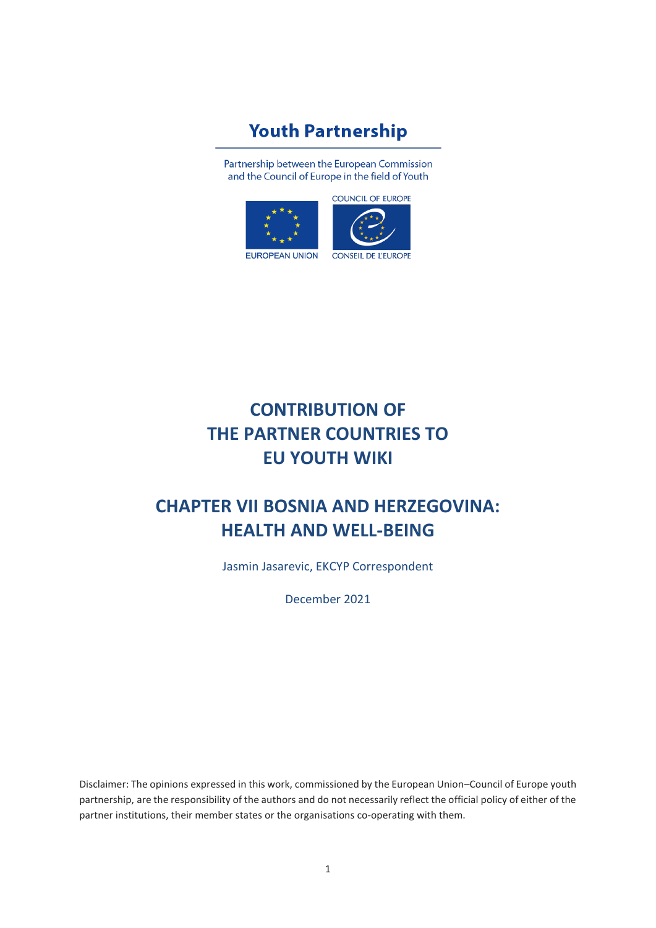# **Youth Partnership**

Partnership between the European Commission and the Council of Europe in the field of Youth





# **CONTRIBUTION OF THE PARTNER COUNTRIES TO EU YOUTH WIKI**

# **CHAPTER VII BOSNIA AND HERZEGOVINA: HEALTH AND WELL-BEING**

Jasmin Jasarevic, EKCYP Correspondent

December 2021

Disclaimer: The opinions expressed in this work, commissioned by the European Union–Council of Europe youth partnership, are the responsibility of the authors and do not necessarily reflect the official policy of either of the partner institutions, their member states or the organisations co-operating with them.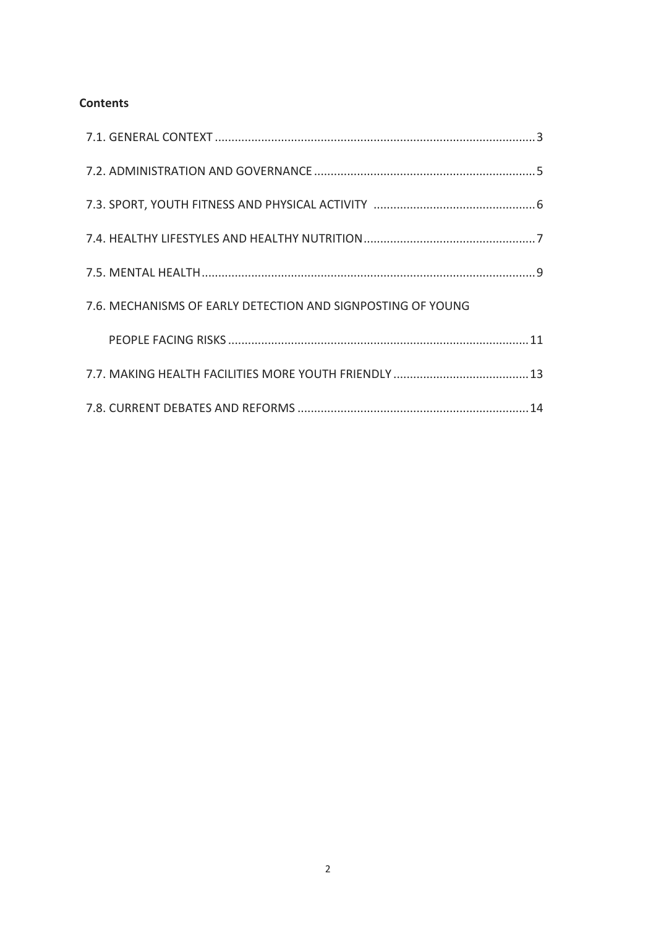# **Contents**

| 7.6. MECHANISMS OF EARLY DETECTION AND SIGNPOSTING OF YOUNG |  |
|-------------------------------------------------------------|--|
|                                                             |  |
|                                                             |  |
|                                                             |  |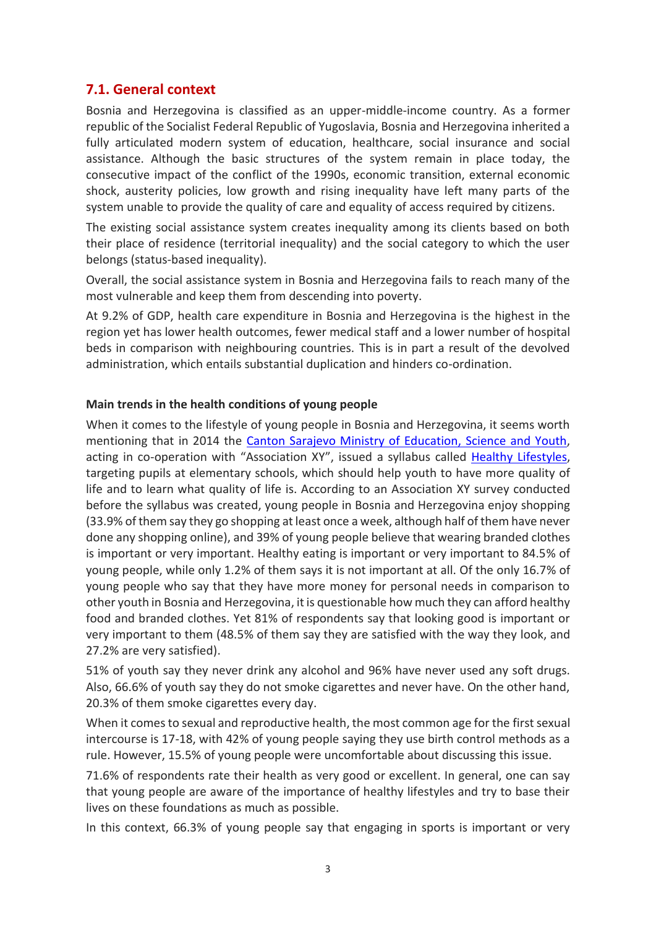# **7.1. General context**

Bosnia and Herzegovina is classified as an upper-middle-income country. As a former republic of the Socialist Federal Republic of Yugoslavia, Bosnia and Herzegovina inherited a fully articulated modern system of education, healthcare, social insurance and social assistance. Although the basic structures of the system remain in place today, the consecutive impact of the conflict of the 1990s, economic transition, external economic shock, austerity policies, low growth and rising inequality have left many parts of the system unable to provide the quality of care and equality of access required by citizens.

The existing social assistance system creates inequality among its clients based on both their place of residence (territorial inequality) and the social category to which the user belongs (status-based inequality).

Overall, the social assistance system in Bosnia and Herzegovina fails to reach many of the most vulnerable and keep them from descending into poverty.

At 9.2% of GDP, health care expenditure in Bosnia and Herzegovina is the highest in the region yet has lower health outcomes, fewer medical staff and a lower number of hospital beds in comparison with neighbouring countries. This is in part a result of the devolved administration, which entails substantial duplication and hinders co-ordination.

#### **Main trends in the health conditions of young people**

When it comes to the lifestyle of young people in Bosnia and Herzegovina, it seems worth mentioning that in 2014 the [Canton Sarajevo Ministry of Education, Science and Youth,](https://www.4icu.org/institutions/ba/971.html) acting in co-operation with "Association XY", issued a syllabus called [Healthy Lifestyles,](http://www.asocijacijaxy.org/development-of-teacher-s-manual-aligned-with-international-standards-for-comprehensive-sexuality-edu) targeting pupils at elementary schools, which should help youth to have more quality of life and to learn what quality of life is. According to an Association XY survey conducted before the syllabus was created, young people in Bosnia and Herzegovina enjoy shopping (33.9% of them say they go shopping at least once a week, although half of them have never done any shopping online), and 39% of young people believe that wearing branded clothes is important or very important. Healthy eating is important or very important to 84.5% of young people, while only 1.2% of them says it is not important at all. Of the only 16.7% of young people who say that they have more money for personal needs in comparison to other youth in Bosnia and Herzegovina, it is questionable how much they can afford healthy food and branded clothes. Yet 81% of respondents say that looking good is important or very important to them (48.5% of them say they are satisfied with the way they look, and 27.2% are very satisfied).

51% of youth say they never drink any alcohol and 96% have never used any soft drugs. Also, 66.6% of youth say they do not smoke cigarettes and never have. On the other hand, 20.3% of them smoke cigarettes every day.

When it comes to sexual and reproductive health, the most common age for the first sexual intercourse is 17-18, with 42% of young people saying they use birth control methods as a rule. However, 15.5% of young people were uncomfortable about discussing this issue.

71.6% of respondents rate their health as very good or excellent. In general, one can say that young people are aware of the importance of healthy lifestyles and try to base their lives on these foundations as much as possible.

In this context, 66.3% of young people say that engaging in sports is important or very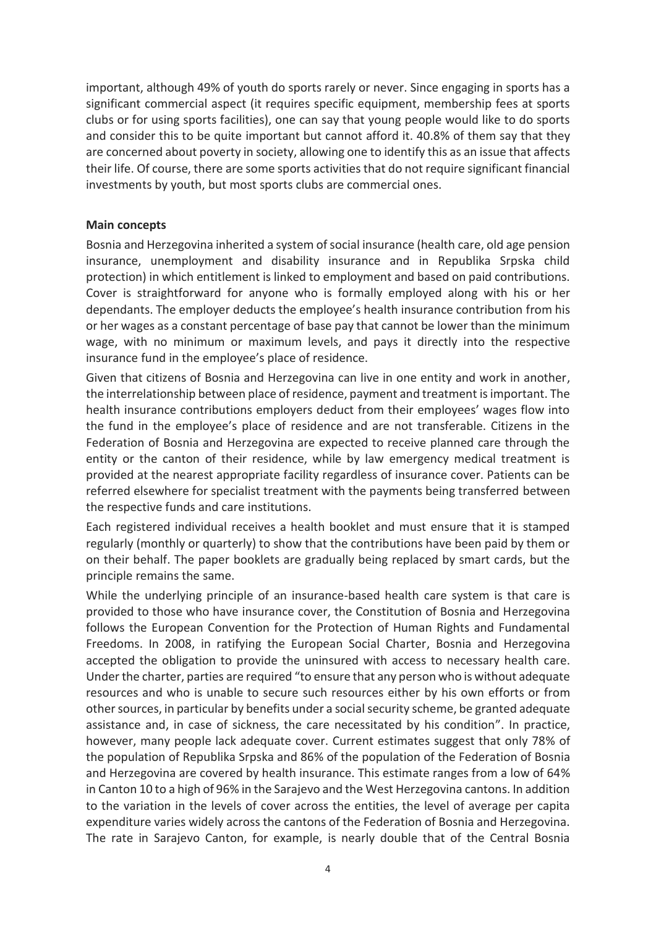important, although 49% of youth do sports rarely or never. Since engaging in sports has a significant commercial aspect (it requires specific equipment, membership fees at sports clubs or for using sports facilities), one can say that young people would like to do sports and consider this to be quite important but cannot afford it. 40.8% of them say that they are concerned about poverty in society, allowing one to identify this as an issue that affects their life. Of course, there are some sports activities that do not require significant financial investments by youth, but most sports clubs are commercial ones.

#### **Main concepts**

Bosnia and Herzegovina inherited a system of social insurance (health care, old age pension insurance, unemployment and disability insurance and in Republika Srpska child protection) in which entitlement is linked to employment and based on paid contributions. Cover is straightforward for anyone who is formally employed along with his or her dependants. The employer deducts the employee's health insurance contribution from his or her wages as a constant percentage of base pay that cannot be lower than the minimum wage, with no minimum or maximum levels, and pays it directly into the respective insurance fund in the employee's place of residence.

Given that citizens of Bosnia and Herzegovina can live in one entity and work in another, the interrelationship between place of residence, payment and treatment isimportant. The health insurance contributions employers deduct from their employees' wages flow into the fund in the employee's place of residence and are not transferable. Citizens in the Federation of Bosnia and Herzegovina are expected to receive planned care through the entity or the canton of their residence, while by law emergency medical treatment is provided at the nearest appropriate facility regardless of insurance cover. Patients can be referred elsewhere for specialist treatment with the payments being transferred between the respective funds and care institutions.

Each registered individual receives a health booklet and must ensure that it is stamped regularly (monthly or quarterly) to show that the contributions have been paid by them or on their behalf. The paper booklets are gradually being replaced by smart cards, but the principle remains the same.

While the underlying principle of an insurance-based health care system is that care is provided to those who have insurance cover, the Constitution of Bosnia and Herzegovina follows the European Convention for the Protection of Human Rights and Fundamental Freedoms. In 2008, in ratifying the European Social Charter, Bosnia and Herzegovina accepted the obligation to provide the uninsured with access to necessary health care. Under the charter, parties are required "to ensure that any person who is without adequate resources and who is unable to secure such resources either by his own efforts or from other sources, in particular by benefits under a social security scheme, be granted adequate assistance and, in case of sickness, the care necessitated by his condition". In practice, however, many people lack adequate cover. Current estimates suggest that only 78% of the population of Republika Srpska and 86% of the population of the Federation of Bosnia and Herzegovina are covered by health insurance. This estimate ranges from a low of 64% in Canton 10 to a high of 96% in the Sarajevo and the West Herzegovina cantons. In addition to the variation in the levels of cover across the entities, the level of average per capita expenditure varies widely across the cantons of the Federation of Bosnia and Herzegovina. The rate in Sarajevo Canton, for example, is nearly double that of the Central Bosnia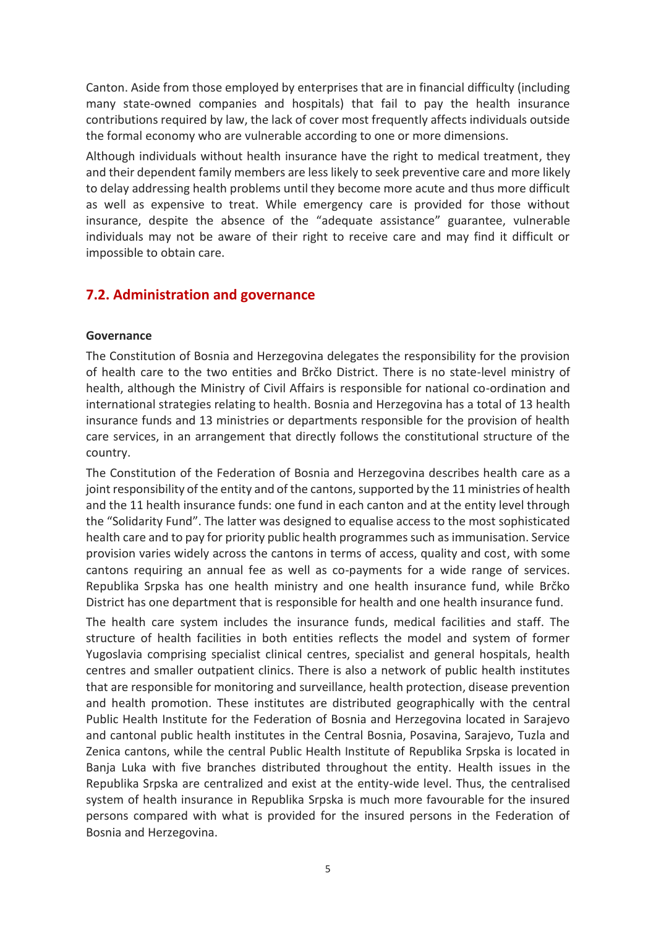Canton. Aside from those employed by enterprises that are in financial difficulty (including many state-owned companies and hospitals) that fail to pay the health insurance contributions required by law, the lack of cover most frequently affects individuals outside the formal economy who are vulnerable according to one or more dimensions.

Although individuals without health insurance have the right to medical treatment, they and their dependent family members are less likely to seek preventive care and more likely to delay addressing health problems until they become more acute and thus more difficult as well as expensive to treat. While emergency care is provided for those without insurance, despite the absence of the "adequate assistance" guarantee, vulnerable individuals may not be aware of their right to receive care and may find it difficult or impossible to obtain care.

# **7.2. Administration and governance**

#### **Governance**

The Constitution of Bosnia and Herzegovina delegates the responsibility for the provision of health care to the two entities and Brčko District. There is no state-level ministry of health, although the Ministry of Civil Affairs is responsible for national co-ordination and international strategies relating to health. Bosnia and Herzegovina has a total of 13 health insurance funds and 13 ministries or departments responsible for the provision of health care services, in an arrangement that directly follows the constitutional structure of the country.

The Constitution of the Federation of Bosnia and Herzegovina describes health care as a joint responsibility of the entity and of the cantons, supported by the 11 ministries of health and the 11 health insurance funds: one fund in each canton and at the entity level through the "Solidarity Fund". The latter was designed to equalise access to the most sophisticated health care and to pay for priority public health programmes such as immunisation. Service provision varies widely across the cantons in terms of access, quality and cost, with some cantons requiring an annual fee as well as co-payments for a wide range of services. Republika Srpska has one health ministry and one health insurance fund, while Brčko District has one department that is responsible for health and one health insurance fund.

The health care system includes the insurance funds, medical facilities and staff. The structure of health facilities in both entities reflects the model and system of former Yugoslavia comprising specialist clinical centres, specialist and general hospitals, health centres and smaller outpatient clinics. There is also a network of public health institutes that are responsible for monitoring and surveillance, health protection, disease prevention and health promotion. These institutes are distributed geographically with the central Public Health Institute for the Federation of Bosnia and Herzegovina located in Sarajevo and cantonal public health institutes in the Central Bosnia, Posavina, Sarajevo, Tuzla and Zenica cantons, while the central Public Health Institute of Republika Srpska is located in Banja Luka with five branches distributed throughout the entity. Health issues in the Republika Srpska are centralized and exist at the entity-wide level. Thus, the centralised system of health insurance in Republika Srpska is much more favourable for the insured persons compared with what is provided for the insured persons in the Federation of Bosnia and Herzegovina.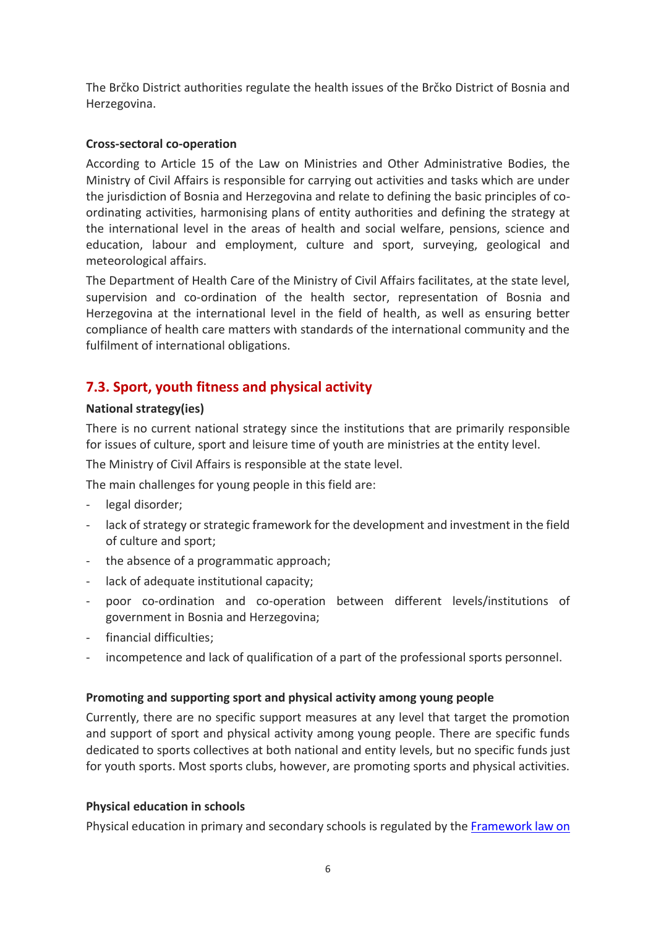The Brčko District authorities regulate the health issues of the Brčko District of Bosnia and Herzegovina.

## **Cross-sectoral co-operation**

According to Article 15 of the Law on Ministries and Other Administrative Bodies, the Ministry of Civil Affairs is responsible for carrying out activities and tasks which are under the jurisdiction of Bosnia and Herzegovina and relate to defining the basic principles of coordinating activities, harmonising plans of entity authorities and defining the strategy at the international level in the areas of health and social welfare, pensions, science and education, labour and employment, culture and sport, surveying, geological and meteorological affairs.

The Department of Health Care of the Ministry of Civil Affairs facilitates, at the state level, supervision and co-ordination of the health sector, representation of Bosnia and Herzegovina at the international level in the field of health, as well as ensuring better compliance of health care matters with standards of the international community and the fulfilment of international obligations.

# **7.3. Sport, youth fitness and physical activity**

### **National strategy(ies)**

There is no current national strategy since the institutions that are primarily responsible for issues of culture, sport and leisure time of youth are ministries at the entity level.

The Ministry of Civil Affairs is responsible at the state level.

The main challenges for young people in this field are:

- legal disorder;
- lack of strategy or strategic framework for the development and investment in the field of culture and sport;
- the absence of a programmatic approach;
- lack of adequate institutional capacity;
- poor co-ordination and co-operation between different levels/institutions of government in Bosnia and Herzegovina;
- financial difficulties:
- incompetence and lack of qualification of a part of the professional sports personnel.

#### **Promoting and supporting sport and physical activity among young people**

Currently, there are no specific support measures at any level that target the promotion and support of sport and physical activity among young people. There are specific funds dedicated to sports collectives at both national and entity levels, but no specific funds just for youth sports. Most sports clubs, however, are promoting sports and physical activities.

## **Physical education in schools**

Physical education in primary and secondary schools is regulated by the [Framework law on](https://www.google.com/url?sa=t&rct=j&q=&esrc=s&source=web&cd=&ved=2ahUKEwiK8bil-O_0AhWriv0HHdl2DnIQFnoECAIQAQ&url=https%3A%2F%2Faposo.gov.ba%2Fsadrzaj%2Fuploads%2FFramework-Law.pdf&usg=AOvVaw2IMh98bbw6gKUS7Dvq7L_f)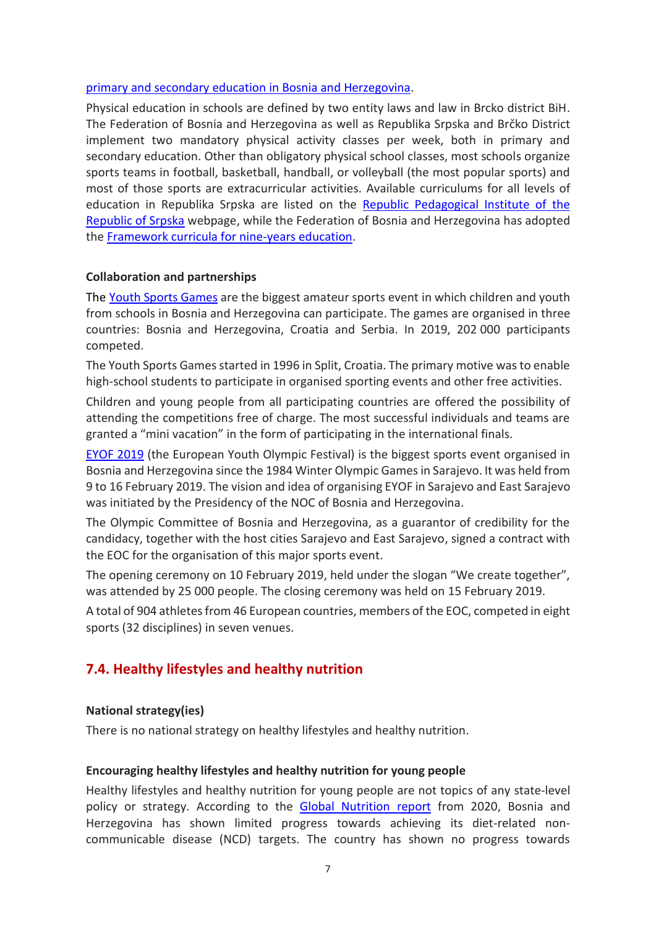#### [primary and secondary education in Bosnia and Herzegovina.](https://www.google.com/url?sa=t&rct=j&q=&esrc=s&source=web&cd=&ved=2ahUKEwiK8bil-O_0AhWriv0HHdl2DnIQFnoECAIQAQ&url=https%3A%2F%2Faposo.gov.ba%2Fsadrzaj%2Fuploads%2FFramework-Law.pdf&usg=AOvVaw2IMh98bbw6gKUS7Dvq7L_f)

Physical education in schools are defined by two entity laws and law in Brcko district BiH. The Federation of Bosnia and Herzegovina as well as Republika Srpska and Brčko District implement two mandatory physical activity classes per week, both in primary and secondary education. Other than obligatory physical school classes, most schools organize sports teams in football, basketball, handball, or volleyball (the most popular sports) and most of those sports are extracurricular activities. Available curriculums for all levels of education in Republika Srpska are listed on the [Republic Pedagogical Institute of the](https://www.rpz-rs.org/7/NPP)  [Republic of Srpska](https://www.rpz-rs.org/7/NPP) webpage, while the Federation of Bosnia and Herzegovina has adopted the [Framework curricula for nine-years education.](https://www.google.com/url?sa=t&rct=j&q=&esrc=s&source=web&cd=&cad=rja&uact=8&ved=2ahUKEwjfy6PR-e_0AhW057sIHVMHCkAQFnoECAIQAQ&url=https%3A%2F%2Fskolegijum.ba%2Fstatic%2Ffiles%2Fpdf%2Fdocs%2F52df9345338c0.pdf&usg=AOvVaw0sxJsQE3GCZwCwvkDSr35g)

#### **Collaboration and partnerships**

The [Youth Sports Games](http://igremladih.org/) are the biggest amateur sports event in which children and youth from schools in Bosnia and Herzegovina can participate. The games are organised in three countries: Bosnia and Herzegovina, Croatia and Serbia. In 2019, 202 000 participants competed.

The Youth Sports Games started in 1996 in Split, Croatia. The primary motive was to enable high-school students to participate in organised sporting events and other free activities.

Children and young people from all participating countries are offered the possibility of attending the competitions free of charge. The most successful individuals and teams are granted a "mini vacation" in the form of participating in the international finals.

[EYOF 2019](https://www.eyof.org/information/) (the European Youth Olympic Festival) is the biggest sports event organised in Bosnia and Herzegovina since the 1984 Winter Olympic Games in Sarajevo. It was held from 9 to 16 February 2019. The vision and idea of organising EYOF in Sarajevo and East Sarajevo was initiated by the Presidency of the NOC of Bosnia and Herzegovina.

The Olympic Committee of Bosnia and Herzegovina, as a guarantor of credibility for the candidacy, together with the host cities Sarajevo and East Sarajevo, signed a contract with the EOC for the organisation of this major sports event.

The opening ceremony on 10 February 2019, held under the slogan "We create together", was attended by 25 000 people. The closing ceremony was held on 15 February 2019.

A total of 904 athletes from 46 European countries, members of the EOC, competed in eight sports (32 disciplines) in seven venues.

# **7.4. Healthy lifestyles and healthy nutrition**

#### **National strategy(ies)**

There is no national strategy on healthy lifestyles and healthy nutrition.

#### **Encouraging healthy lifestyles and healthy nutrition for young people**

Healthy lifestyles and healthy nutrition for young people are not topics of any state-level policy or strategy. According to the [Global Nutrition report](https://globalnutritionreport.org/resources/nutrition-profiles/europe/southern-europe/bosnia-and-herzegovina/) from 2020, Bosnia and Herzegovina has shown limited progress towards achieving its diet-related noncommunicable disease (NCD) targets. The country has shown no progress towards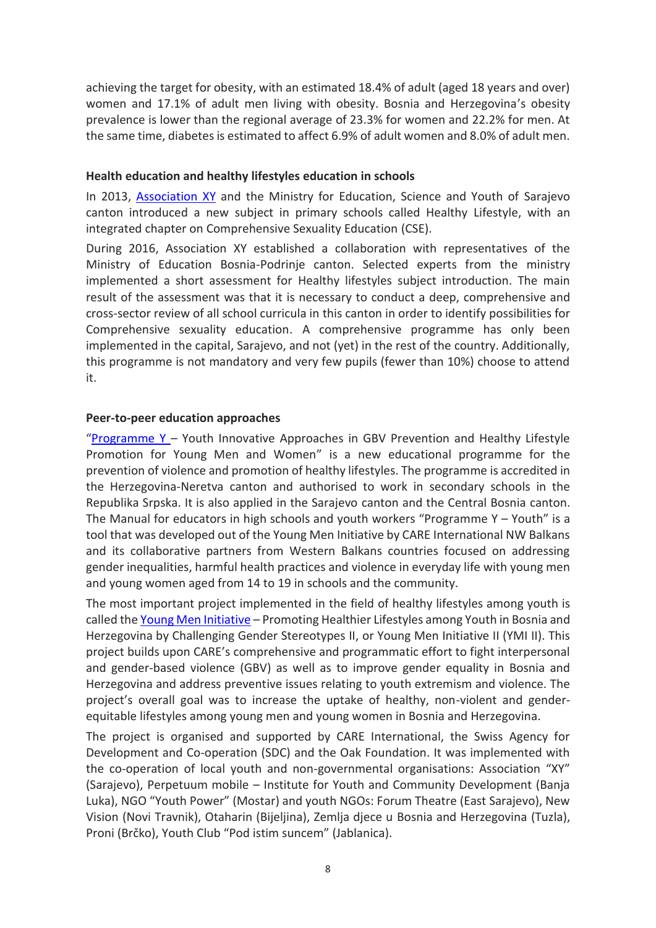achieving the target for obesity, with an estimated 18.4% of adult (aged 18 years and over) women and 17.1% of adult men living with obesity. Bosnia and Herzegovina's obesity prevalence is lower than the regional average of 23.3% for women and 22.2% for men. At the same time, diabetes is estimated to affect 6.9% of adult women and 8.0% of adult men.

#### **Health education and healthy lifestyles education in schools**

In 2013, [Association XY](http://www.asocijacijaxy.org/comprehensive-sexuality-education) and the Ministry for Education, Science and Youth of Sarajevo canton introduced a new subject in primary schools called Healthy Lifestyle, with an integrated chapter on Comprehensive Sexuality Education (CSE).

During 2016, Association XY established a collaboration with representatives of the Ministry of Education Bosnia-Podrinje canton. Selected experts from the ministry implemented a short assessment for Healthy lifestyles subject introduction. The main result of the assessment was that it is necessary to conduct a deep, comprehensive and cross-sector review of all school curricula in this canton in order to identify possibilities for Comprehensive sexuality education. A comprehensive programme has only been implemented in the capital, Sarajevo, and not (yet) in the rest of the country. Additionally, this programme is not mandatory and very few pupils (fewer than 10%) choose to attend it.

#### **Peer-to-peer education approaches**

"[Programme](https://youngmeninitiative.net/en/about-us/program-y/) Y – Youth Innovative Approaches in GBV Prevention and Healthy Lifestyle Promotion for Young Men and Women" is a new educational programme for the prevention of violence and promotion of healthy lifestyles. The programme is accredited in the Herzegovina-Neretva canton and authorised to work in secondary schools in the Republika Srpska. It is also applied in the Sarajevo canton and the Central Bosnia canton. The Manual for educators in high schools and youth workers "Programme Y – Youth" is a tool that was developed out of the Young Men Initiative by CARE International NW Balkans and its collaborative partners from Western Balkans countries focused on addressing gender inequalities, harmful health practices and violence in everyday life with young men and young women aged from 14 to 19 in schools and the community.

The most important project implemented in the field of healthy lifestyles among youth is called the [Young Men Initiative](http://www.careevaluations.org/evaluation/promoting-healthier-lifestyles-among-youth-in-bosnia-and-herzegovina-by-challenging-gender-stereotypes-ii-young-men-initiative-project-ii-ymi-ii/) – Promoting Healthier Lifestyles among Youth in Bosnia and Herzegovina by Challenging Gender Stereotypes II, or Young Men Initiative II (YMI II). This project builds upon CARE's comprehensive and programmatic effort to fight interpersonal and gender-based violence (GBV) as well as to improve gender equality in Bosnia and Herzegovina and address preventive issues relating to youth extremism and violence. The project's overall goal was to increase the uptake of healthy, non-violent and genderequitable lifestyles among young men and young women in Bosnia and Herzegovina.

The project is organised and supported by CARE International, the Swiss Agency for Development and Co-operation (SDC) and the Oak Foundation. It was implemented with the co-operation of local youth and non-governmental organisations: Association "XY" (Sarajevo), Perpetuum mobile – Institute for Youth and Community Development (Banja Luka), NGO "Youth Power" (Mostar) and youth NGOs: Forum Theatre (East Sarajevo), New Vision (Novi Travnik), Otaharin (Bijeljina), Zemlja djece u Bosnia and Herzegovina (Tuzla), Proni (Brčko), Youth Club "Pod istim suncem" (Jablanica).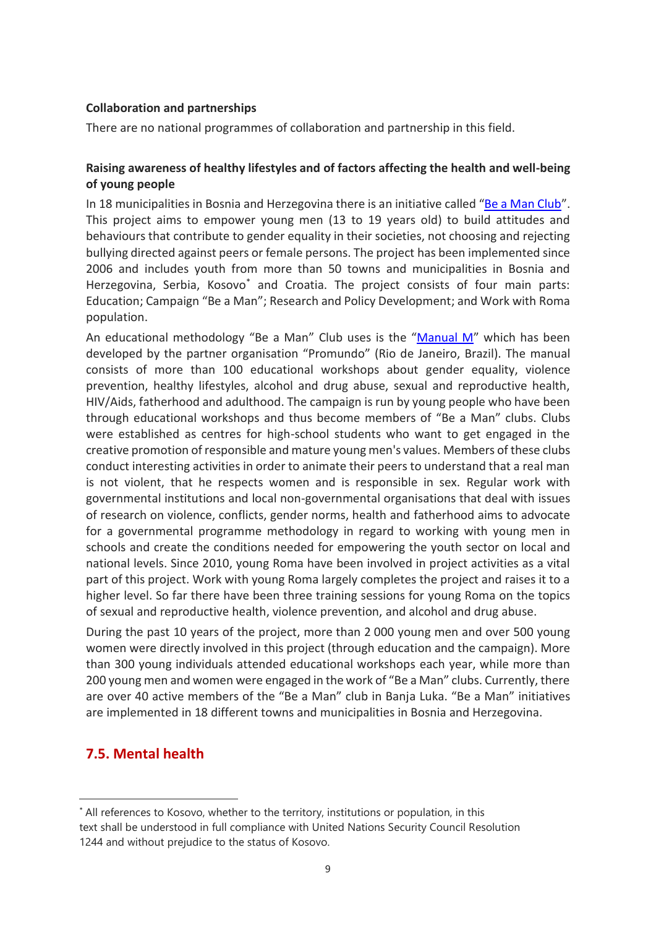## **Collaboration and partnerships**

There are no national programmes of collaboration and partnership in this field.

# **Raising awareness of healthy lifestyles and of factors affecting the health and well-being of young people**

In 18 municipalities in Bosnia and Herzegovina there is an initiative called "[Be a Man Club](http://www.pm.rs.ba/programs/be-a-man/)". This project aims to empower young men (13 to 19 years old) to build attitudes and behaviours that contribute to gender equality in their societies, not choosing and rejecting bullying directed against peers or female persons. The project has been implemented since 2006 and includes youth from more than 50 towns and municipalities in Bosnia and Herzegovina, Serbia, Kosovo<sup>\*</sup> and Croatia. The project consists of four main parts: Education; Campaign "Be a Man"; Research and Policy Development; and Work with Roma population.

An educational methodology "Be a Man" Club uses is the "[Manual M](https://www.google.com/url?sa=t&rct=j&q=&esrc=s&source=web&cd=&ved=2ahUKEwjukPCK_O_0AhV5g_0HHY1UCI4QFnoECAIQAQ&url=http%3A%2F%2Fyoungmeninitiative.net%2Fwp-content%2Fuploads%2F2018%2F02%2FM-Manual-English.pdf&usg=AOvVaw0oOtsHhZ7stnLfKo6op_G5)" which has been developed by the partner organisation "Promundo" (Rio de Janeiro, Brazil). The manual consists of more than 100 educational workshops about gender equality, violence prevention, healthy lifestyles, alcohol and drug abuse, sexual and reproductive health, HIV/Aids, fatherhood and adulthood. The campaign is run by young people who have been through educational workshops and thus become members of "Be a Man" clubs. Clubs were established as centres for high-school students who want to get engaged in the creative promotion of responsible and mature young men's values. Members of these clubs conduct interesting activities in order to animate their peers to understand that a real man is not violent, that he respects women and is responsible in sex. Regular work with governmental institutions and local non-governmental organisations that deal with issues of research on violence, conflicts, gender norms, health and fatherhood aims to advocate for a governmental programme methodology in regard to working with young men in schools and create the conditions needed for empowering the youth sector on local and national levels. Since 2010, young Roma have been involved in project activities as a vital part of this project. Work with young Roma largely completes the project and raises it to a higher level. So far there have been three training sessions for young Roma on the topics of sexual and reproductive health, violence prevention, and alcohol and drug abuse.

During the past 10 years of the project, more than 2 000 young men and over 500 young women were directly involved in this project (through education and the campaign). More than 300 young individuals attended educational workshops each year, while more than 200 young men and women were engaged in the work of "Be a Man" clubs. Currently, there are over 40 active members of the "Be a Man" club in Banja Luka. "Be a Man" initiatives are implemented in 18 different towns and municipalities in Bosnia and Herzegovina.

# **7.5. Mental health**

<sup>\*</sup> All references to Kosovo, whether to the territory, institutions or population, in this text shall be understood in full compliance with United Nations Security Council Resolution 1244 and without prejudice to the status of Kosovo.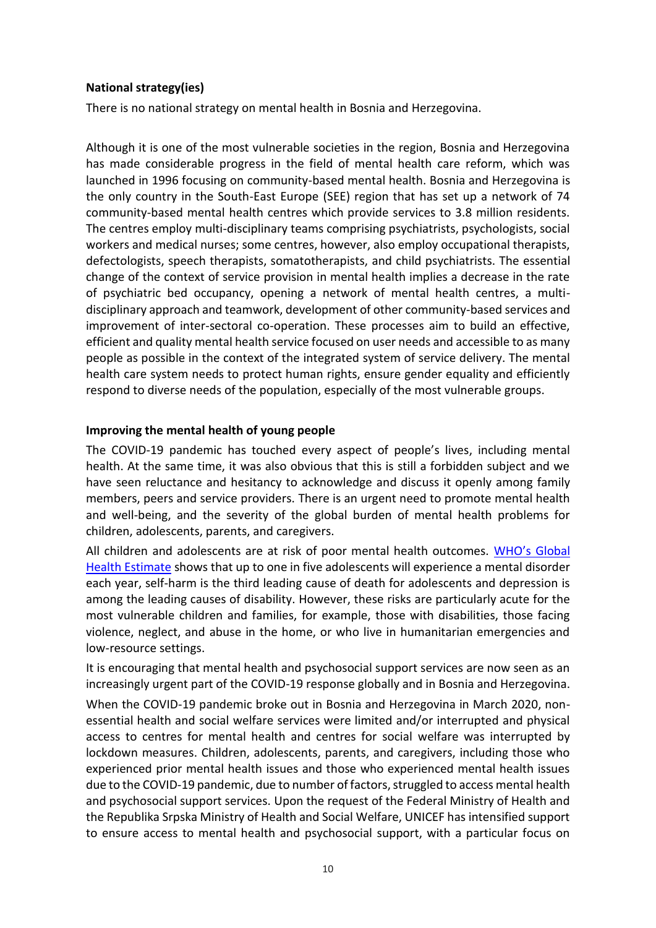## **National strategy(ies)**

There is no national strategy on mental health in Bosnia and Herzegovina.

Although it is one of the most vulnerable societies in the region, Bosnia and Herzegovina has made considerable progress in the field of mental health care reform, which was launched in 1996 focusing on community-based mental health. Bosnia and Herzegovina is the only country in the South-East Europe (SEE) region that has set up a network of 74 community-based mental health centres which provide services to 3.8 million residents. The centres employ multi-disciplinary teams comprising psychiatrists, psychologists, social workers and medical nurses; some centres, however, also employ occupational therapists, defectologists, speech therapists, somatotherapists, and child psychiatrists. The essential change of the context of service provision in mental health implies a decrease in the rate of psychiatric bed occupancy, opening a network of mental health centres, a multidisciplinary approach and teamwork, development of other community-based services and improvement of inter-sectoral co-operation. These processes aim to build an effective, efficient and quality mental health service focused on user needs and accessible to as many people as possible in the context of the integrated system of service delivery. The mental health care system needs to protect human rights, ensure gender equality and efficiently respond to diverse needs of the population, especially of the most vulnerable groups.

### **Improving the mental health of young people**

The COVID-19 pandemic has touched every aspect of people's lives, including mental health. At the same time, it was also obvious that this is still a forbidden subject and we have seen reluctance and hesitancy to acknowledge and discuss it openly among family members, peers and service providers. There is an urgent need to promote mental health and well-being, and the severity of the global burden of mental health problems for children, adolescents, parents, and caregivers.

All children and adolescents are at risk of poor mental health outcomes. WHO's Global [Health Estimate](https://www.who.int/data/global-health-estimates) shows that up to one in five adolescents will experience a mental disorder each year, self-harm is the third leading cause of death for adolescents and depression is among the leading causes of disability. However, these risks are particularly acute for the most vulnerable children and families, for example, those with disabilities, those facing violence, neglect, and abuse in the home, or who live in humanitarian emergencies and low-resource settings.

It is encouraging that mental health and psychosocial support services are now seen as an increasingly urgent part of the COVID-19 response globally and in Bosnia and Herzegovina.

When the COVID-19 pandemic broke out in Bosnia and Herzegovina in March 2020, nonessential health and social welfare services were limited and/or interrupted and physical access to centres for mental health and centres for social welfare was interrupted by lockdown measures. Children, adolescents, parents, and caregivers, including those who experienced prior mental health issues and those who experienced mental health issues due to the COVID-19 pandemic, due to number of factors, struggled to access mental health and psychosocial support services. Upon the request of the Federal Ministry of Health and the Republika Srpska Ministry of Health and Social Welfare, UNICEF has intensified support to ensure access to mental health and psychosocial support, with a particular focus on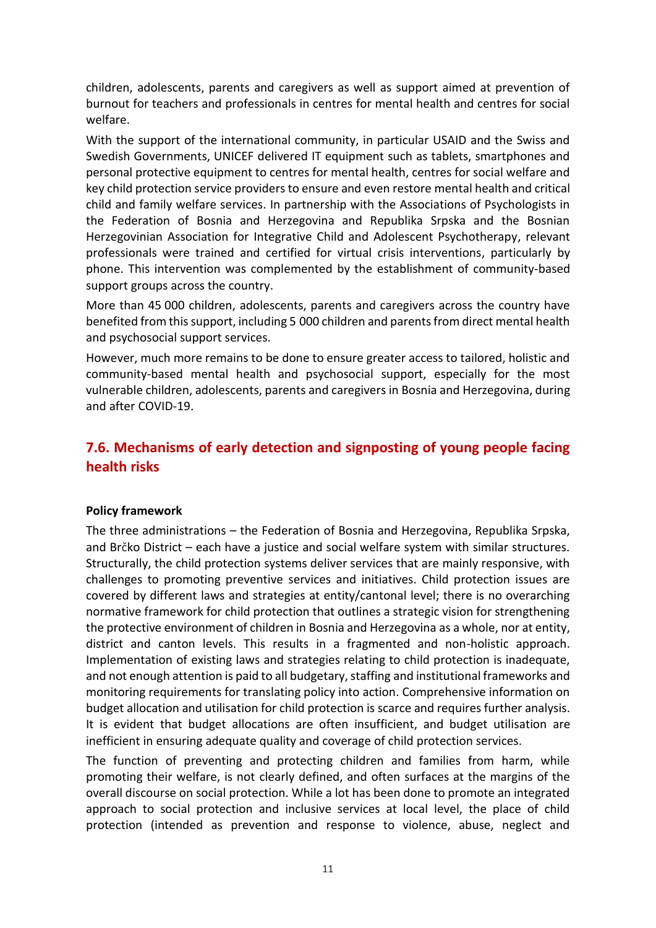children, adolescents, parents and caregivers as well as support aimed at prevention of burnout for teachers and professionals in centres for mental health and centres for social welfare.

With the support of the international community, in particular USAID and the Swiss and Swedish Governments, UNICEF delivered IT equipment such as tablets, smartphones and personal protective equipment to centres for mental health, centres for social welfare and key child protection service providers to ensure and even restore mental health and critical child and family welfare services. In partnership with the Associations of Psychologists in the Federation of Bosnia and Herzegovina and Republika Srpska and the Bosnian Herzegovinian Association for Integrative Child and Adolescent Psychotherapy, relevant professionals were trained and certified for virtual crisis interventions, particularly by phone. This intervention was complemented by the establishment of community-based support groups across the country.

More than 45 000 children, adolescents, parents and caregivers across the country have benefited from this support, including 5 000 children and parents from direct mental health and psychosocial support services.

However, much more remains to be done to ensure greater access to tailored, holistic and community-based mental health and psychosocial support, especially for the most vulnerable children, adolescents, parents and caregivers in Bosnia and Herzegovina, during and after COVID-19.

# **7.6. Mechanisms of early detection and signposting of young people facing health risks**

#### **Policy framework**

The three administrations – the Federation of Bosnia and Herzegovina, Republika Srpska, and Brčko District – each have a justice and social welfare system with similar structures. Structurally, the child protection systems deliver services that are mainly responsive, with challenges to promoting preventive services and initiatives. Child protection issues are covered by different laws and strategies at entity/cantonal level; there is no overarching normative framework for child protection that outlines a strategic vision for strengthening the protective environment of children in Bosnia and Herzegovina as a whole, nor at entity, district and canton levels. This results in a fragmented and non-holistic approach. Implementation of existing laws and strategies relating to child protection is inadequate, and not enough attention is paid to all budgetary, staffing and institutional frameworks and monitoring requirements for translating policy into action. Comprehensive information on budget allocation and utilisation for child protection is scarce and requires further analysis. It is evident that budget allocations are often insufficient, and budget utilisation are inefficient in ensuring adequate quality and coverage of child protection services.

The function of preventing and protecting children and families from harm, while promoting their welfare, is not clearly defined, and often surfaces at the margins of the overall discourse on social protection. While a lot has been done to promote an integrated approach to social protection and inclusive services at local level, the place of child protection (intended as prevention and response to violence, abuse, neglect and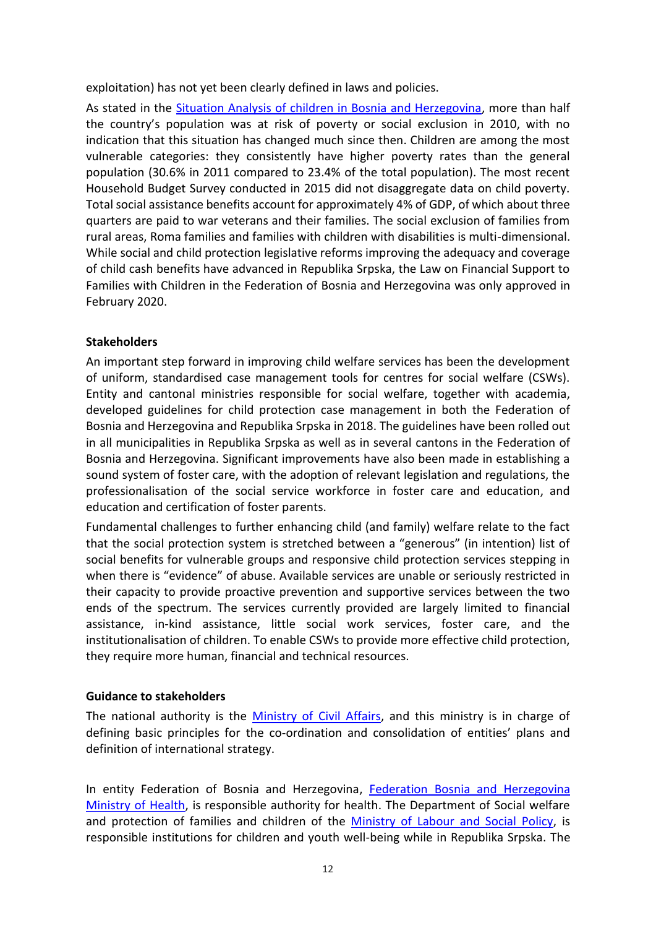exploitation) has not yet been clearly defined in laws and policies.

As stated in the [Situation Analysis of children in Bosnia and Herzegovina,](https://www.unicef.org/bih/en/reports/situation-analysis-children-bosnia-and-herzegovina) more than half the country's population was at risk of poverty or social exclusion in 2010, with no indication that this situation has changed much since then. Children are among the most vulnerable categories: they consistently have higher poverty rates than the general population (30.6% in 2011 compared to 23.4% of the total population). The most recent Household Budget Survey conducted in 2015 did not disaggregate data on child poverty. Total social assistance benefits account for approximately 4% of GDP, of which about three quarters are paid to war veterans and their families. The social exclusion of families from rural areas, Roma families and families with children with disabilities is multi-dimensional. While social and child protection legislative reforms improving the adequacy and coverage of child cash benefits have advanced in Republika Srpska, the Law on Financial Support to Families with Children in the Federation of Bosnia and Herzegovina was only approved in February 2020.

# **Stakeholders**

An important step forward in improving child welfare services has been the development of uniform, standardised case management tools for centres for social welfare (CSWs). Entity and cantonal ministries responsible for social welfare, together with academia, developed guidelines for child protection case management in both the Federation of Bosnia and Herzegovina and Republika Srpska in 2018. The guidelines have been rolled out in all municipalities in Republika Srpska as well as in several cantons in the Federation of Bosnia and Herzegovina. Significant improvements have also been made in establishing a sound system of foster care, with the adoption of relevant legislation and regulations, the professionalisation of the social service workforce in foster care and education, and education and certification of foster parents.

Fundamental challenges to further enhancing child (and family) welfare relate to the fact that the social protection system is stretched between a "generous" (in intention) list of social benefits for vulnerable groups and responsive child protection services stepping in when there is "evidence" of abuse. Available services are unable or seriously restricted in their capacity to provide proactive prevention and supportive services between the two ends of the spectrum. The services currently provided are largely limited to financial assistance, in-kind assistance, little social work services, foster care, and the institutionalisation of children. To enable CSWs to provide more effective child protection, they require more human, financial and technical resources.

## **Guidance to stakeholders**

The national authority is the [Ministry of Civil Affairs,](http://www.mcp.gov.ba/Content/Read/zdravstvo-po%C4%8Detna) and this ministry is in charge of defining basic principles for the co-ordination and consolidation of entities' plans and definition of international strategy.

In entity Federation of Bosnia and Herzegovina, [Federation Bosnia and Herzegovina](http://www.fbihvlada.gov.ba/english/ministarstva/zdravstvo.php) [Ministry of Health,](http://www.fbihvlada.gov.ba/english/ministarstva/zdravstvo.php) is responsible authority for health. The Department of Social welfare and protection of families and children of the [Ministry of Labour and Social Policy,](http://www.fbihvlada.gov.ba/english/ministarstva/rad_socijalna_politika.php) is responsible institutions for children and youth well-being while in Republika Srpska. The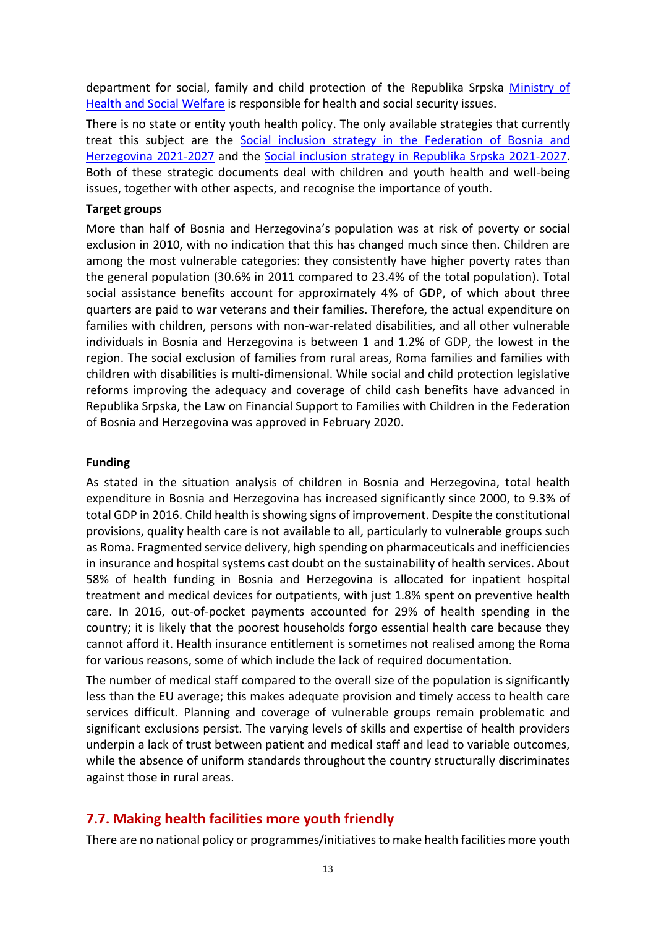department for social, family and child protection of the Republika Srpska [Ministry of](https://www.vladars.net/eng/vlada/ministries/MHSW/aboutministry/Pages/default.aspx)  [Health and Social Welfare](https://www.vladars.net/eng/vlada/ministries/MHSW/aboutministry/Pages/default.aspx) is responsible for health and social security issues.

There is no state or entity youth health policy. The only available strategies that currently treat this subject are the Social inclusion [strategy in the Federation](https://www.google.com/url?sa=t&rct=j&q=&esrc=s&source=web&cd=&ved=2ahUKEwjGsvSu8u_0AhXv6LsIHTp7CIkQFnoECAgQAQ&url=https%3A%2F%2Fwww.unicef.org%2Fbih%2Fmedia%2F6476%2Ffile%2FFederation%2520of%2520Bosnia%2520and%2520Herzegovina%2520Social%2520Inclusion%2520Strategy.pdf&usg=AOvVaw1DIzD-EchFRcPGz6w3OTy1) of Bosnia and [Herzegovina](https://www.google.com/url?sa=t&rct=j&q=&esrc=s&source=web&cd=&ved=2ahUKEwjGsvSu8u_0AhXv6LsIHTp7CIkQFnoECAgQAQ&url=https%3A%2F%2Fwww.unicef.org%2Fbih%2Fmedia%2F6476%2Ffile%2FFederation%2520of%2520Bosnia%2520and%2520Herzegovina%2520Social%2520Inclusion%2520Strategy.pdf&usg=AOvVaw1DIzD-EchFRcPGz6w3OTy1) 2021-2027 and the [Social inclusion strategy in Republika Srpska](https://www.google.com/url?sa=t&rct=j&q=&esrc=s&source=web&cd=&cad=rja&uact=8&ved=2ahUKEwjEiqGQ8u_0AhVvgf0HHbXnBaAQFnoECAcQAQ&url=https%3A%2F%2Fwww.unicef.org%2Fbih%2Fmedia%2F6481%2Ffile%2FRepublika%2520Srpska%2520Social%2520Inclusion%2520STRATEGY.pdf&usg=AOvVaw0dXXXM7M3Pfdzoy-O0FJKu) 2021-2027. Both of these strategic documents deal with children and youth health and well-being issues, together with other aspects, and recognise the importance of youth.

#### **Target groups**

More than half of Bosnia and Herzegovina's population was at risk of poverty or social exclusion in 2010, with no indication that this has changed much since then. Children are among the most vulnerable categories: they consistently have higher poverty rates than the general population (30.6% in 2011 compared to 23.4% of the total population). Total social assistance benefits account for approximately 4% of GDP, of which about three quarters are paid to war veterans and their families. Therefore, the actual expenditure on families with children, persons with non-war-related disabilities, and all other vulnerable individuals in Bosnia and Herzegovina is between 1 and 1.2% of GDP, the lowest in the region. The social exclusion of families from rural areas, Roma families and families with children with disabilities is multi-dimensional. While social and child protection legislative reforms improving the adequacy and coverage of child cash benefits have advanced in Republika Srpska, the Law on Financial Support to Families with Children in the Federation of Bosnia and Herzegovina was approved in February 2020.

#### **Funding**

As stated in the situation analysis of children in Bosnia and Herzegovina, total health expenditure in Bosnia and Herzegovina has increased significantly since 2000, to 9.3% of total GDP in 2016. Child health is showing signs of improvement. Despite the constitutional provisions, quality health care is not available to all, particularly to vulnerable groups such as Roma. Fragmented service delivery, high spending on pharmaceuticals and inefficiencies in insurance and hospital systems cast doubt on the sustainability of health services. About 58% of health funding in Bosnia and Herzegovina is allocated for inpatient hospital treatment and medical devices for outpatients, with just 1.8% spent on preventive health care. In 2016, out-of-pocket payments accounted for 29% of health spending in the country; it is likely that the poorest households forgo essential health care because they cannot afford it. Health insurance entitlement is sometimes not realised among the Roma for various reasons, some of which include the lack of required documentation.

The number of medical staff compared to the overall size of the population is significantly less than the EU average; this makes adequate provision and timely access to health care services difficult. Planning and coverage of vulnerable groups remain problematic and significant exclusions persist. The varying levels of skills and expertise of health providers underpin a lack of trust between patient and medical staff and lead to variable outcomes, while the absence of uniform standards throughout the country structurally discriminates against those in rural areas.

# **7.7. Making health facilities more youth friendly**

There are no national policy or programmes/initiatives to make health facilities more youth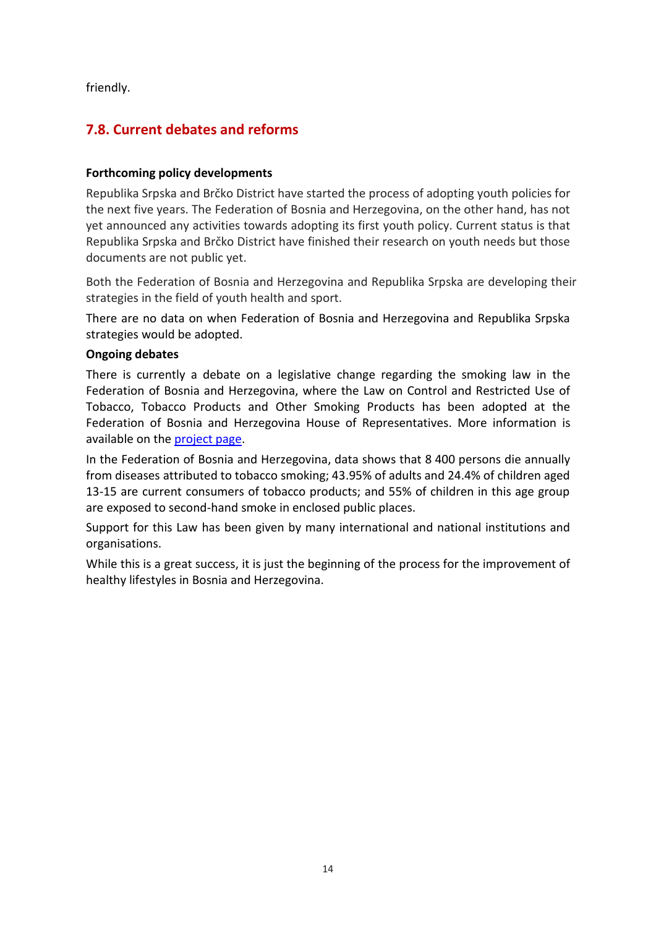friendly.

# **7.8. Current debates and reforms**

## **Forthcoming policy developments**

Republika Srpska and Brčko District have started the process of adopting youth policies for the next five years. The Federation of Bosnia and Herzegovina, on the other hand, has not yet announced any activities towards adopting its first youth policy. Current status is that Republika Srpska and Brčko District have finished their research on youth needs but those documents are not public yet.

Both the Federation of Bosnia and Herzegovina and Republika Srpska are developing their strategies in the field of youth health and sport.

There are no data on when Federation of Bosnia and Herzegovina and Republika Srpska strategies would be adopted.

# **Ongoing debates**

There is currently a debate on a legislative change regarding the smoking law in the Federation of Bosnia and Herzegovina, where the Law on Control and Restricted Use of Tobacco, Tobacco Products and Other Smoking Products has been adopted at the Federation of Bosnia and Herzegovina House of Representatives. More information is available on the [project page.](https://www.tobaccocontrollaws.org/legislation/country/bosnia-and-herzegovina/laws)

In the Federation of Bosnia and Herzegovina, data shows that 8 400 persons die annually from diseases attributed to tobacco smoking; 43.95% of adults and 24.4% of children aged 13-15 are current consumers of tobacco products; and 55% of children in this age group are exposed to second-hand smoke in enclosed public places.

Support for this Law has been given by many international and national institutions and organisations.

While this is a great success, it is just the beginning of the process for the improvement of healthy lifestyles in Bosnia and Herzegovina.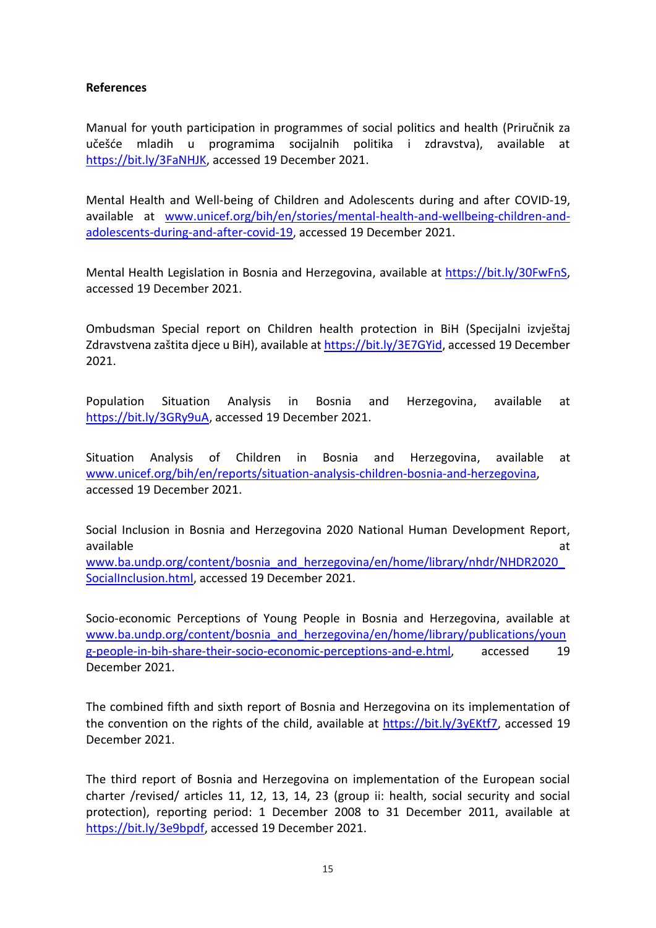#### **References**

Manual for youth participation in programmes of social politics and health (Priručnik za učešće mladih u programima socijalnih politika i zdravstva), available at [https://bit.ly/3FaNHJK,](https://bit.ly/3FaNHJK) accessed 19 December 2021.

Mental Health and Well-being of Children and Adolescents during and after COVID-19, available at [www.unicef.org/bih/en/stories/mental-health-and-wellbeing-children-and](http://www.unicef.org/bih/en/stories/mental-health-and-wellbeing-children-and-adolescents-during-and-after-covid-19)[adolescents-during-and-after-covid-19,](http://www.unicef.org/bih/en/stories/mental-health-and-wellbeing-children-and-adolescents-during-and-after-covid-19) accessed 19 December 2021.

Mental Health Legislation in Bosnia and Herzegovina, available at [https://bit.ly/30FwFnS,](https://bit.ly/30FwFnS) accessed 19 December 2021.

Ombudsman Special report on Children health protection in BiH (Specijalni izvještaj Zdravstvena zaštita djece u BiH), available at [https://bit.ly/3E7GYid,](https://bit.ly/3E7GYid) accessed 19 December 2021.

Population Situation Analysis in Bosnia and Herzegovina, available at [https://bit.ly/3GRy9uA,](https://bit.ly/3GRy9uA) accessed 19 December 2021.

Situation Analysis of Children in Bosnia and Herzegovina, available at [www.unicef.org/bih/en/reports/situation-analysis-children-bosnia-and-herzegovina,](http://www.unicef.org/bih/en/reports/situation-analysis-children-bosnia-and-herzegovina) accessed 19 December 2021.

Social Inclusion in Bosnia and Herzegovina 2020 National Human Development Report, available and a state of the state of the state of the state of the state of the state of the state of the state of the state of the state of the state of the state of the state of the state of the state of the state of th www.ba.undp.org/content/bosnia\_and\_herzegovina/en/home/library/nhdr/NHDR2020 [SocialInclusion.html,](http://www.ba.undp.org/content/bosnia_and_herzegovina/en/home/library/nhdr/NHDR2020_SocialInclusion.html) accessed 19 December 2021.

Socio-economic Perceptions of Young People in Bosnia and Herzegovina, available at [www.ba.undp.org/content/bosnia\\_and\\_herzegovina/en/home/library/publications/youn](http://www.ba.undp.org/content/bosnia_and_herzegovina/en/home/library/publications/young-people-in-bih-share-their-socio-economic-perceptions-and-e.html) [g-people-in-bih-share-their-socio-economic-perceptions-and-e.html,](http://www.ba.undp.org/content/bosnia_and_herzegovina/en/home/library/publications/young-people-in-bih-share-their-socio-economic-perceptions-and-e.html) accessed 19 December 2021.

The combined fifth and sixth report of Bosnia and Herzegovina on its implementation of the convention on the rights of the child, available at [https://bit.ly/3yEKtf7,](https://bit.ly/3yEKtf7) accessed 19 December 2021.

The third report of Bosnia and Herzegovina on implementation of the European social charter /revised/ articles 11, 12, 13, 14, 23 (group ii: health, social security and social protection), reporting period: 1 December 2008 to 31 December 2011, available at [https://bit.ly/3e9bpdf,](https://bit.ly/3e9bpdf) accessed 19 December 2021.